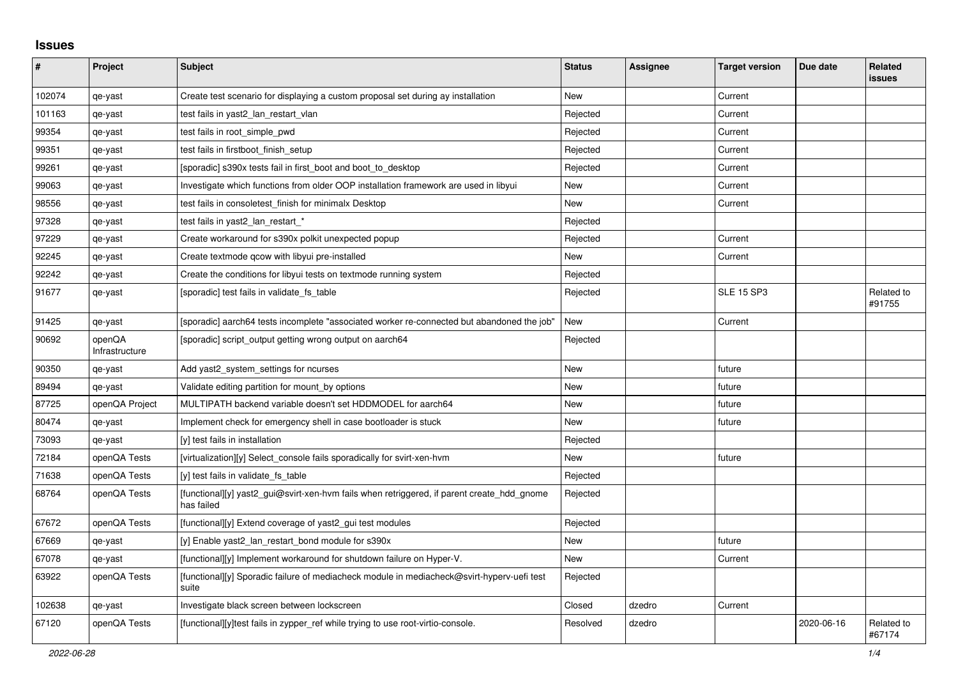## **Issues**

| #      | Project                  | <b>Subject</b>                                                                                           | <b>Status</b> | Assignee | <b>Target version</b> | Due date   | <b>Related</b><br><b>issues</b> |
|--------|--------------------------|----------------------------------------------------------------------------------------------------------|---------------|----------|-----------------------|------------|---------------------------------|
| 102074 | qe-yast                  | Create test scenario for displaying a custom proposal set during ay installation                         | <b>New</b>    |          | Current               |            |                                 |
| 101163 | qe-yast                  | test fails in yast2_lan_restart_vlan                                                                     | Rejected      |          | Current               |            |                                 |
| 99354  | qe-yast                  | test fails in root_simple_pwd                                                                            | Rejected      |          | Current               |            |                                 |
| 99351  | qe-yast                  | test fails in firstboot_finish_setup                                                                     | Rejected      |          | Current               |            |                                 |
| 99261  | qe-yast                  | [sporadic] s390x tests fail in first boot and boot to desktop                                            | Rejected      |          | Current               |            |                                 |
| 99063  | qe-yast                  | Investigate which functions from older OOP installation framework are used in libyui                     | New           |          | Current               |            |                                 |
| 98556  | qe-yast                  | test fails in consoletest finish for minimalx Desktop                                                    | <b>New</b>    |          | Current               |            |                                 |
| 97328  | qe-yast                  | test fails in yast2_lan_restart_*                                                                        | Rejected      |          |                       |            |                                 |
| 97229  | qe-yast                  | Create workaround for s390x polkit unexpected popup                                                      | Rejected      |          | Current               |            |                                 |
| 92245  | qe-yast                  | Create textmode gcow with libyui pre-installed                                                           | <b>New</b>    |          | Current               |            |                                 |
| 92242  | qe-yast                  | Create the conditions for libyui tests on textmode running system                                        | Rejected      |          |                       |            |                                 |
| 91677  | qe-yast                  | [sporadic] test fails in validate fs table                                                               | Rejected      |          | <b>SLE 15 SP3</b>     |            | Related to<br>#91755            |
| 91425  | qe-yast                  | [sporadic] aarch64 tests incomplete "associated worker re-connected but abandoned the job"               | New           |          | Current               |            |                                 |
| 90692  | openQA<br>Infrastructure | [sporadic] script output getting wrong output on aarch64                                                 | Rejected      |          |                       |            |                                 |
| 90350  | qe-yast                  | Add yast2_system_settings for ncurses                                                                    | <b>New</b>    |          | future                |            |                                 |
| 89494  | qe-yast                  | Validate editing partition for mount_by options                                                          | New           |          | future                |            |                                 |
| 87725  | openQA Project           | MULTIPATH backend variable doesn't set HDDMODEL for aarch64                                              | <b>New</b>    |          | future                |            |                                 |
| 80474  | qe-yast                  | Implement check for emergency shell in case bootloader is stuck                                          | <b>New</b>    |          | future                |            |                                 |
| 73093  | qe-yast                  | [y] test fails in installation                                                                           | Rejected      |          |                       |            |                                 |
| 72184  | openQA Tests             | [virtualization][y] Select_console fails sporadically for svirt-xen-hvm                                  | New           |          | future                |            |                                 |
| 71638  | openQA Tests             | [y] test fails in validate fs table                                                                      | Rejected      |          |                       |            |                                 |
| 68764  | openQA Tests             | [functional][y] yast2_gui@svirt-xen-hvm fails when retriggered, if parent create_hdd_gnome<br>has failed | Rejected      |          |                       |            |                                 |
| 67672  | openQA Tests             | [functional][y] Extend coverage of yast2_gui test modules                                                | Rejected      |          |                       |            |                                 |
| 67669  | qe-yast                  | [y] Enable yast2_lan_restart_bond module for s390x                                                       | New           |          | future                |            |                                 |
| 67078  | qe-yast                  | [functional][y] Implement workaround for shutdown failure on Hyper-V.                                    | New           |          | Current               |            |                                 |
| 63922  | openQA Tests             | [functional][y] Sporadic failure of mediacheck module in mediacheck@svirt-hyperv-uefi test<br>suite      | Rejected      |          |                       |            |                                 |
| 102638 | qe-yast                  | Investigate black screen between lockscreen                                                              | Closed        | dzedro   | Current               |            |                                 |
| 67120  | openQA Tests             | [functional][y]test fails in zypper_ref while trying to use root-virtio-console.                         | Resolved      | dzedro   |                       | 2020-06-16 | Related to<br>#67174            |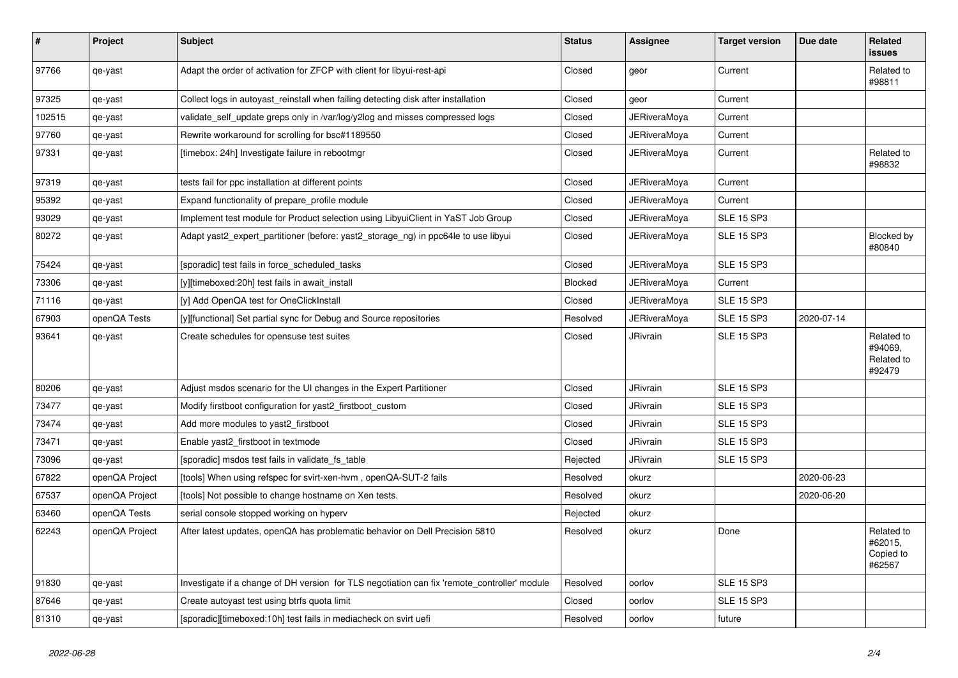| $\pmb{\#}$ | Project        | <b>Subject</b>                                                                               | <b>Status</b>  | Assignee            | <b>Target version</b> | Due date   | <b>Related</b><br><b>issues</b>               |
|------------|----------------|----------------------------------------------------------------------------------------------|----------------|---------------------|-----------------------|------------|-----------------------------------------------|
| 97766      | qe-yast        | Adapt the order of activation for ZFCP with client for libyui-rest-api                       | Closed         | geor                | Current               |            | Related to<br>#98811                          |
| 97325      | qe-yast        | Collect logs in autoyast reinstall when failing detecting disk after installation            | Closed         | geor                | Current               |            |                                               |
| 102515     | qe-yast        | validate_self_update greps only in /var/log/y2log and misses compressed logs                 | Closed         | JERiveraMoya        | Current               |            |                                               |
| 97760      | qe-yast        | Rewrite workaround for scrolling for bsc#1189550                                             | Closed         | JERiveraMoya        | Current               |            |                                               |
| 97331      | qe-yast        | [timebox: 24h] Investigate failure in rebootmgr                                              | Closed         | JERiveraMova        | Current               |            | Related to<br>#98832                          |
| 97319      | qe-yast        | tests fail for ppc installation at different points                                          | Closed         | JERiveraMoya        | Current               |            |                                               |
| 95392      | qe-yast        | Expand functionality of prepare profile module                                               | Closed         | JERiveraMoya        | Current               |            |                                               |
| 93029      | qe-yast        | Implement test module for Product selection using LibyuiClient in YaST Job Group             | Closed         | JERiveraMoya        | <b>SLE 15 SP3</b>     |            |                                               |
| 80272      | qe-yast        | Adapt yast2_expert_partitioner (before: yast2_storage_ng) in ppc64le to use libyui           | Closed         | JERiveraMoya        | <b>SLE 15 SP3</b>     |            | Blocked by<br>#80840                          |
| 75424      | qe-yast        | [sporadic] test fails in force_scheduled_tasks                                               | Closed         | <b>JERiveraMoya</b> | <b>SLE 15 SP3</b>     |            |                                               |
| 73306      | qe-yast        | [y][timeboxed:20h] test fails in await_install                                               | <b>Blocked</b> | <b>JERiveraMoya</b> | Current               |            |                                               |
| 71116      | qe-yast        | [y] Add OpenQA test for OneClickInstall                                                      | Closed         | <b>JERiveraMova</b> | <b>SLE 15 SP3</b>     |            |                                               |
| 67903      | openQA Tests   | [y][functional] Set partial sync for Debug and Source repositories                           | Resolved       | JERiveraMova        | <b>SLE 15 SP3</b>     | 2020-07-14 |                                               |
| 93641      | qe-yast        | Create schedules for opensuse test suites                                                    | Closed         | <b>JRivrain</b>     | <b>SLE 15 SP3</b>     |            | Related to<br>#94069.<br>Related to<br>#92479 |
| 80206      | qe-yast        | Adjust msdos scenario for the UI changes in the Expert Partitioner                           | Closed         | <b>JRivrain</b>     | <b>SLE 15 SP3</b>     |            |                                               |
| 73477      | qe-yast        | Modify firstboot configuration for yast2_firstboot_custom                                    | Closed         | <b>JRivrain</b>     | <b>SLE 15 SP3</b>     |            |                                               |
| 73474      | qe-yast        | Add more modules to yast2_firstboot                                                          | Closed         | <b>JRivrain</b>     | <b>SLE 15 SP3</b>     |            |                                               |
| 73471      | qe-yast        | Enable yast2 firstboot in textmode                                                           | Closed         | <b>JRivrain</b>     | <b>SLE 15 SP3</b>     |            |                                               |
| 73096      | qe-yast        | [sporadic] msdos test fails in validate fs table                                             | Rejected       | JRivrain            | <b>SLE 15 SP3</b>     |            |                                               |
| 67822      | openQA Project | [tools] When using refspec for svirt-xen-hvm, openQA-SUT-2 fails                             | Resolved       | okurz               |                       | 2020-06-23 |                                               |
| 67537      | openQA Project | [tools] Not possible to change hostname on Xen tests.                                        | Resolved       | okurz               |                       | 2020-06-20 |                                               |
| 63460      | openQA Tests   | serial console stopped working on hyperv                                                     | Rejected       | okurz               |                       |            |                                               |
| 62243      | openQA Project | After latest updates, openQA has problematic behavior on Dell Precision 5810                 | Resolved       | okurz               | Done                  |            | Related to<br>#62015,<br>Copied to<br>#62567  |
| 91830      | qe-yast        | Investigate if a change of DH version for TLS negotiation can fix 'remote_controller' module | Resolved       | oorlov              | <b>SLE 15 SP3</b>     |            |                                               |
| 87646      | qe-yast        | Create autoyast test using btrfs quota limit                                                 | Closed         | oorlov              | <b>SLE 15 SP3</b>     |            |                                               |
| 81310      | qe-yast        | [sporadic][timeboxed:10h] test fails in mediacheck on svirt uefi                             | Resolved       | oorlov              | future                |            |                                               |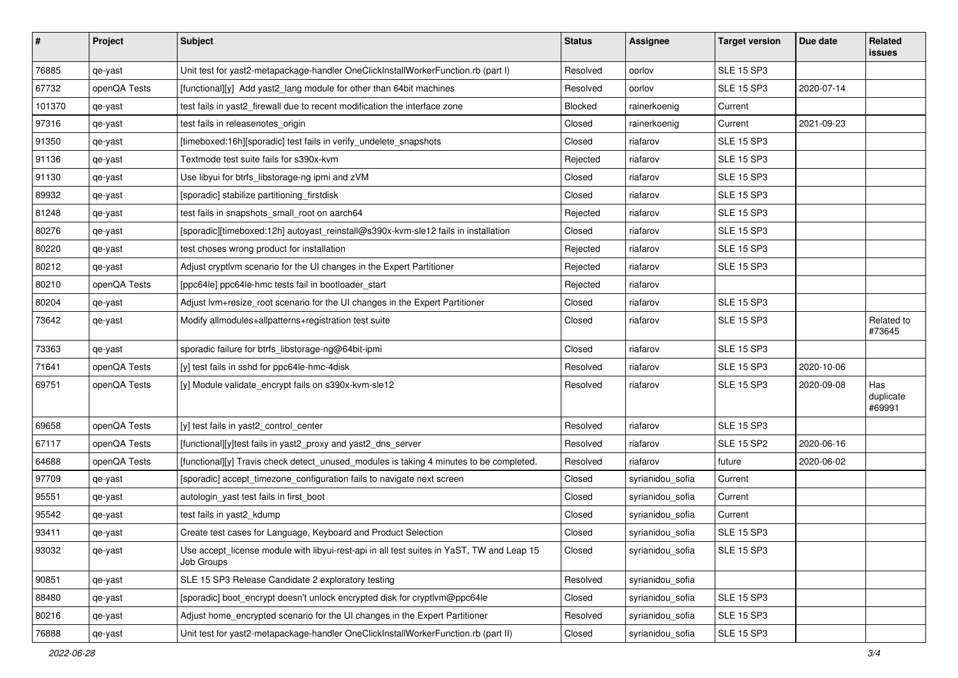| $\sharp$ | Project      | <b>Subject</b>                                                                                          | <b>Status</b> | <b>Assignee</b>  | <b>Target version</b> | Due date   | Related<br>issues          |
|----------|--------------|---------------------------------------------------------------------------------------------------------|---------------|------------------|-----------------------|------------|----------------------------|
| 76885    | qe-yast      | Unit test for yast2-metapackage-handler OneClickInstallWorkerFunction.rb (part I)                       | Resolved      | oorlov           | <b>SLE 15 SP3</b>     |            |                            |
| 67732    | openQA Tests | [functional][y] Add yast2 lang module for other than 64bit machines                                     | Resolved      | oorlov           | <b>SLE 15 SP3</b>     | 2020-07-14 |                            |
| 101370   | qe-yast      | test fails in yast2 firewall due to recent modification the interface zone                              | Blocked       | rainerkoenig     | Current               |            |                            |
| 97316    | qe-yast      | test fails in releasenotes_origin                                                                       | Closed        | rainerkoenig     | Current               | 2021-09-23 |                            |
| 91350    | qe-yast      | [timeboxed:16h][sporadic] test fails in verify undelete snapshots                                       | Closed        | riafarov         | <b>SLE 15 SP3</b>     |            |                            |
| 91136    | qe-yast      | Textmode test suite fails for s390x-kvm                                                                 | Rejected      | riafarov         | <b>SLE 15 SP3</b>     |            |                            |
| 91130    | qe-yast      | Use libyui for btrfs_libstorage-ng ipmi and zVM                                                         | Closed        | riafarov         | <b>SLE 15 SP3</b>     |            |                            |
| 89932    | qe-yast      | [sporadic] stabilize partitioning_firstdisk                                                             | Closed        | riafarov         | <b>SLE 15 SP3</b>     |            |                            |
| 81248    | qe-yast      | test fails in snapshots_small_root on aarch64                                                           | Rejected      | riafarov         | <b>SLE 15 SP3</b>     |            |                            |
| 80276    | qe-yast      | [sporadic][timeboxed:12h] autoyast_reinstall@s390x-kvm-sle12 fails in installation                      | Closed        | riafarov         | <b>SLE 15 SP3</b>     |            |                            |
| 80220    | qe-yast      | test choses wrong product for installation                                                              | Rejected      | riafarov         | <b>SLE 15 SP3</b>     |            |                            |
| 80212    | qe-yast      | Adjust cryptivm scenario for the UI changes in the Expert Partitioner                                   | Rejected      | riafarov         | <b>SLE 15 SP3</b>     |            |                            |
| 80210    | openQA Tests | [ppc64le] ppc64le-hmc tests fail in bootloader_start                                                    | Rejected      | riafarov         |                       |            |                            |
| 80204    | qe-yast      | Adjust lvm+resize_root scenario for the UI changes in the Expert Partitioner                            | Closed        | riafarov         | <b>SLE 15 SP3</b>     |            |                            |
| 73642    | qe-yast      | Modify allmodules+allpatterns+registration test suite                                                   | Closed        | riafarov         | <b>SLE 15 SP3</b>     |            | Related to<br>#73645       |
| 73363    | qe-yast      | sporadic failure for btrfs_libstorage-ng@64bit-ipmi                                                     | Closed        | riafarov         | <b>SLE 15 SP3</b>     |            |                            |
| 71641    | openQA Tests | [y] test fails in sshd for ppc64le-hmc-4disk                                                            | Resolved      | riafarov         | <b>SLE 15 SP3</b>     | 2020-10-06 |                            |
| 69751    | openQA Tests | [y] Module validate_encrypt fails on s390x-kvm-sle12                                                    | Resolved      | riafarov         | <b>SLE 15 SP3</b>     | 2020-09-08 | Has<br>duplicate<br>#69991 |
| 69658    | openQA Tests | [y] test fails in yast2_control_center                                                                  | Resolved      | riafarov         | <b>SLE 15 SP3</b>     |            |                            |
| 67117    | openQA Tests | [functional][y]test fails in yast2_proxy and yast2_dns_server                                           | Resolved      | riafarov         | <b>SLE 15 SP2</b>     | 2020-06-16 |                            |
| 64688    | openQA Tests | [functional][y] Travis check detect_unused_modules is taking 4 minutes to be completed.                 | Resolved      | riafarov         | future                | 2020-06-02 |                            |
| 97709    | qe-yast      | [sporadic] accept_timezone_configuration fails to navigate next screen                                  | Closed        | syrianidou_sofia | Current               |            |                            |
| 95551    | qe-yast      | autologin_yast test fails in first_boot                                                                 | Closed        | syrianidou_sofia | Current               |            |                            |
| 95542    | qe-yast      | test fails in yast2_kdump                                                                               | Closed        | syrianidou_sofia | Current               |            |                            |
| 93411    | qe-yast      | Create test cases for Language, Keyboard and Product Selection                                          | Closed        | syrianidou_sofia | <b>SLE 15 SP3</b>     |            |                            |
| 93032    | qe-yast      | Use accept_license module with libyui-rest-api in all test suites in YaST, TW and Leap 15<br>Job Groups | Closed        | syrianidou_sofia | <b>SLE 15 SP3</b>     |            |                            |
| 90851    | qe-yast      | SLE 15 SP3 Release Candidate 2 exploratory testing                                                      | Resolved      | syrianidou_sofia |                       |            |                            |
| 88480    | qe-yast      | [sporadic] boot encrypt doesn't unlock encrypted disk for cryptlym@ppc64le                              | Closed        | syrianidou_sofia | <b>SLE 15 SP3</b>     |            |                            |
| 80216    | qe-yast      | Adjust home_encrypted scenario for the UI changes in the Expert Partitioner                             | Resolved      | syrianidou_sofia | <b>SLE 15 SP3</b>     |            |                            |
| 76888    | qe-yast      | Unit test for yast2-metapackage-handler OneClickInstallWorkerFunction.rb (part II)                      | Closed        | syrianidou_sofia | <b>SLE 15 SP3</b>     |            |                            |